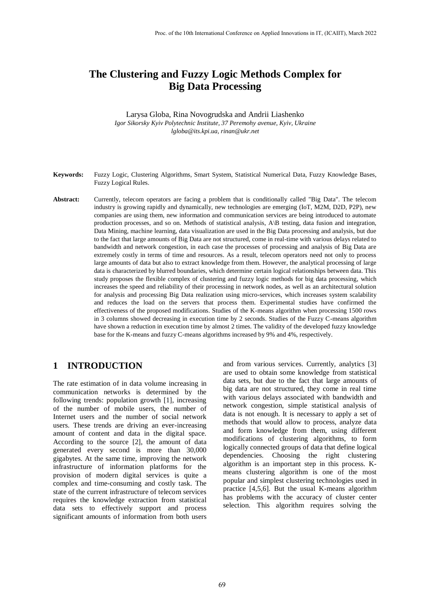# **The Clustering and Fuzzy Logic Methods Complex for Big Data Processing**

Larysa Globa, Rina Novogrudska and Andrii Liashenko *Igor Sikorsky Kyiv Polytechnic Institute, 37 Peremohy avenue, Kyiv, Ukraine lgloba@its.kpi.ua, rinan@ukr.net*

- **Keywords:** Fuzzy Logic, Clustering Algorithms, Smart System, Statistical Numerical Data, Fuzzy Knowledge Bases, Fuzzy Logical Rules.
- **Abstract:** Currently, telecom operators are facing a problem that is conditionally called "Big Data". The telecom industry is growing rapidly and dynamically, new technologies are emerging (IoT, M2M, D2D, P2P), new companies are using them, new information and communication services are being introduced to automate production processes, and so on. Methods of statistical analysis, A\B testing, data fusion and integration, Data Mining, machine learning, data visualization are used in the Big Data processing and analysis, but due to the fact that large amounts of Big Data are not structured, come in real-time with various delays related to bandwidth and network congestion, in each case the processes of processing and analysis of Big Data are extremely costly in terms of time and resources. As a result, telecom operators need not only to process large amounts of data but also to extract knowledge from them. However, the analytical processing of large data is characterized by blurred boundaries, which determine certain logical relationships between data. This study proposes the flexible complex of clustering and fuzzy logic methods for big data processing, which increases the speed and reliability of their processing in network nodes, as well as an architectural solution for analysis and processing Big Data realization using micro-services, which increases system scalability and reduces the load on the servers that process them. Experimental studies have confirmed the effectiveness of the proposed modifications. Studies of the K-means algorithm when processing 1500 rows in 3 columns showed decreasing in execution time by 2 seconds. Studies of the Fuzzy C-means algorithm have shown a reduction in execution time by almost 2 times. The validity of the developed fuzzy knowledge base for the K-means and fuzzy C-means algorithms increased by 9% and 4%, respectively.

#### **1 INTRODUCTION**

The rate estimation of in data volume increasing in communication networks is determined by the following trends: population growth [1], increasing of the number of mobile users, the number of Internet users and the number of social network users. These trends are driving an ever-increasing amount of content and data in the digital space. According to the source [2], the amount of data generated every second is more than 30,000 gigabytes. At the same time, improving the network infrastructure of information platforms for the provision of modern digital services is quite a complex and time-consuming and costly task. The state of the current infrastructure of telecom services requires the knowledge extraction from statistical data sets to effectively support and process significant amounts of information from both users

and from various services. Currently, analytics [3] are used to obtain some knowledge from statistical data sets, but due to the fact that large amounts of big data are not structured, they come in real time with various delays associated with bandwidth and network congestion, simple statistical analysis of data is not enough. It is necessary to apply a set of methods that would allow to process, analyze data and form knowledge from them, using different modifications of clustering algorithms, to form logically connected groups of data that define logical dependencies. Choosing the right clustering algorithm is an important step in this process. Kmeans clustering algorithm is one of the most popular and simplest clustering technologies used in practice [4,5,6]. But the usual K-means algorithm has problems with the accuracy of cluster center selection. This algorithm requires solving the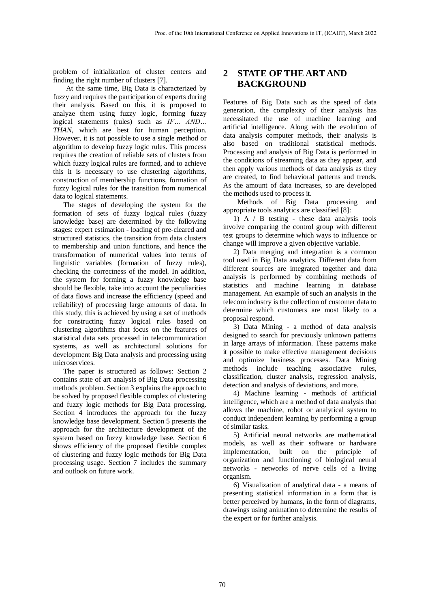problem of initialization of cluster centers and finding the right number of clusters [7].

At the same time, Big Data is characterized by fuzzy and requires the participation of experts during their analysis. Based on this, it is proposed to analyze them using fuzzy logic, forming fuzzy logical statements (rules) such as *IF… AND… THAN*, which are best for human perception. However, it is not possible to use a single method or algorithm to develop fuzzy logic rules. This process requires the creation of reliable sets of clusters from which fuzzy logical rules are formed, and to achieve this it is necessary to use clustering algorithms, construction of membership functions, formation of fuzzy logical rules for the transition from numerical data to logical statements.

The stages of developing the system for the formation of sets of fuzzy logical rules (fuzzy knowledge base) are determined by the following stages: expert estimation - loading of pre-cleared and structured statistics, the transition from data clusters to membership and union functions, and hence the transformation of numerical values into terms of linguistic variables (formation of fuzzy rules), checking the correctness of the model. In addition, the system for forming a fuzzy knowledge base should be flexible, take into account the peculiarities of data flows and increase the efficiency (speed and reliability) of processing large amounts of data. In this study, this is achieved by using a set of methods for constructing fuzzy logical rules based on clustering algorithms that focus on the features of statistical data sets processed in telecommunication systems, as well as architectural solutions for development Big Data analysis and processing using microservices.

The paper is structured as follows: Section 2 contains state of art analysis of Big Data processing methods problem. Section 3 explains the approach to be solved by proposed flexible complex of clustering and fuzzy logic methods for Big Data processing. Section 4 introduces the approach for the fuzzy knowledge base development. Section 5 presents the approach for the architecture development of the system based on fuzzy knowledge base. Section 6 shows efficiency of the proposed flexible complex of clustering and fuzzy logic methods for Big Data processing usage. Section 7 includes the summary and outlook on future work.

## **2 STATE OF THE ART AND BACKGROUND**

Features of Big Data such as the speed of data generation, the complexity of their analysis has necessitated the use of machine learning and artificial intelligence. Along with the evolution of data analysis computer methods, their analysis is also based on traditional statistical methods. Processing and analysis of Big Data is performed in the conditions of streaming data as they appear, and then apply various methods of data analysis as they are created, to find behavioral patterns and trends. As the amount of data increases, so are developed the methods used to process it.

Methods of Big Data processing and appropriate tools analytics are classified [8]:

1) A / B testing - these data analysis tools involve comparing the control group with different test groups to determine which ways to influence or change will improve a given objective variable.

2) Data merging and integration is a common tool used in Big Data analytics. Different data from different sources are integrated together and data analysis is performed by combining methods of statistics and machine learning in database management. An example of such an analysis in the telecom industry is the collection of customer data to determine which customers are most likely to a proposal respond.

3) Data Mining - a method of data analysis designed to search for previously unknown patterns in large arrays of information. These patterns make it possible to make effective management decisions and optimize business processes. Data Mining methods include teaching associative rules, classification, cluster analysis, regression analysis, detection and analysis of deviations, and more.

4) Machine learning - methods of artificial intelligence, which are a method of data analysis that allows the machine, robot or analytical system to conduct independent learning by performing a group of similar tasks.

5) Artificial neural networks are mathematical models, as well as their software or hardware implementation, built on the principle of organization and functioning of biological neural networks - networks of nerve cells of a living organism.

6) Visualization of analytical data - a means of presenting statistical information in a form that is better perceived by humans, in the form of diagrams, drawings using animation to determine the results of the expert or for further analysis.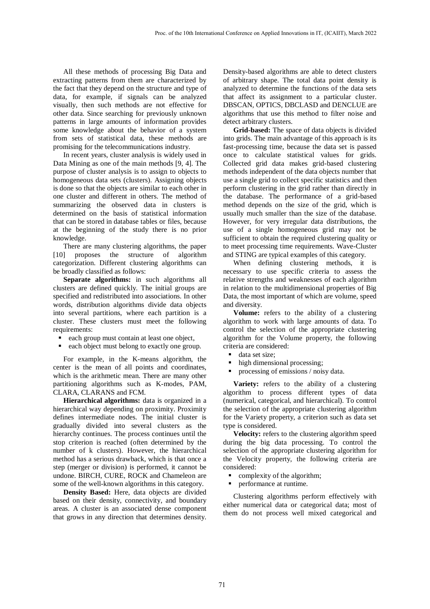All these methods of processing Big Data and extracting patterns from them are characterized by the fact that they depend on the structure and type of data, for example, if signals can be analyzed visually, then such methods are not effective for other data. Since searching for previously unknown patterns in large amounts of information provides some knowledge about the behavior of a system from sets of statistical data, these methods are promising for the telecommunications industry.

In recent years, cluster analysis is widely used in Data Mining as one of the main methods [9, 4]. The purpose of cluster analysis is to assign to objects to homogeneous data sets (clusters). Assigning objects is done so that the objects are similar to each other in one cluster and different in others. The method of summarizing the observed data in clusters is determined on the basis of statistical information that can be stored in database tables or files, because at the beginning of the study there is no prior knowledge.

There are many clustering algorithms, the paper [10] proposes the structure of algorithm categorization. Different clustering algorithms can be broadly classified as follows:

**Separate algorithms:** in such algorithms all clusters are defined quickly. The initial groups are specified and redistributed into associations. In other words, distribution algorithms divide data objects into several partitions, where each partition is a cluster. These clusters must meet the following requirements:

- each group must contain at least one object,
- each object must belong to exactly one group.

For example, in the K-means algorithm, the center is the mean of all points and coordinates, which is the arithmetic mean. There are many other partitioning algorithms such as K-modes, PAM, CLARA, CLARANS and FCM.

**Hierarchical algorithms:** data is organized in a hierarchical way depending on proximity. Proximity defines intermediate nodes. The initial cluster is gradually divided into several clusters as the hierarchy continues. The process continues until the stop criterion is reached (often determined by the number of k clusters). However, the hierarchical method has a serious drawback, which is that once a step (merger or division) is performed, it cannot be undone. BIRCH, CURE, ROCK and Chameleon are some of the well-known algorithms in this category.

**Density Based:** Here, data objects are divided based on their density, connectivity, and boundary areas. A cluster is an associated dense component that grows in any direction that determines density.

Density-based algorithms are able to detect clusters of arbitrary shape. The total data point density is analyzed to determine the functions of the data sets that affect its assignment to a particular cluster. DBSCAN, OPTICS, DBCLASD and DENCLUE are algorithms that use this method to filter noise and detect arbitrary clusters.

**Grid-based:** The space of data objects is divided into grids. The main advantage of this approach is its fast-processing time, because the data set is passed once to calculate statistical values for grids. Collected grid data makes grid-based clustering methods independent of the data objects number that use a single grid to collect specific statistics and then perform clustering in the grid rather than directly in the database. The performance of a grid-based method depends on the size of the grid, which is usually much smaller than the size of the database. However, for very irregular data distributions, the use of a single homogeneous grid may not be sufficient to obtain the required clustering quality or to meet processing time requirements. Wave-Cluster and STING are typical examples of this category.

When defining clustering methods, it is necessary to use specific criteria to assess the relative strengths and weaknesses of each algorithm in relation to the multidimensional properties of Big Data, the most important of which are volume, speed and diversity.

**Volume:** refers to the ability of a clustering algorithm to work with large amounts of data. To control the selection of the appropriate clustering algorithm for the Volume property, the following criteria are considered:

- data set size:
- high dimensional processing;
- processing of emissions / noisy data.

**Variety:** refers to the ability of a clustering algorithm to process different types of data (numerical, categorical, and hierarchical). To control the selection of the appropriate clustering algorithm for the Variety property, a criterion such as data set type is considered.

**Velocity:** refers to the clustering algorithm speed during the big data processing. To control the selection of the appropriate clustering algorithm for the Velocity property, the following criteria are considered:

- $\blacksquare$  complexity of the algorithm:
- performance at runtime.

Clustering algorithms perform effectively with either numerical data or categorical data; most of them do not process well mixed categorical and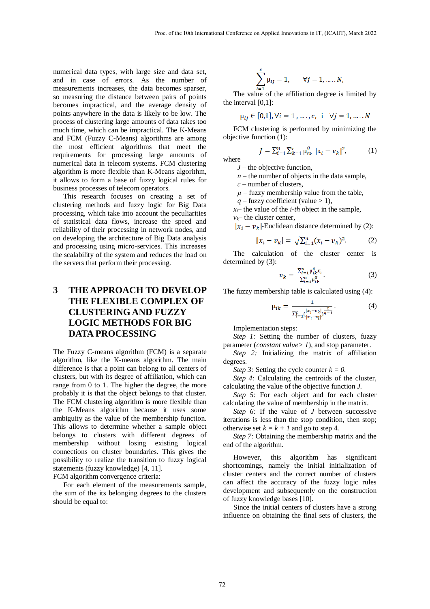numerical data types, with large size and data set, and in case of errors. As the number of measurements increases, the data becomes sparser, so measuring the distance between pairs of points becomes impractical, and the average density of points anywhere in the data is likely to be low. The process of clustering large amounts of data takes too much time, which can be impractical. The K-Means and FCM (Fuzzy C-Means) algorithms are among the most efficient algorithms that meet the requirements for processing large amounts of numerical data in telecom systems. FCM clustering algorithm is more flexible than K-Means algorithm, it allows to form a base of fuzzy logical rules for business processes of telecom operators.

This research focuses on creating a set of clustering methods and fuzzy logic for Big Data processing, which take into account the peculiarities of statistical data flows, increase the speed and reliability of their processing in network nodes, and on developing the architecture of Big Data analysis and processing using micro-services. This increases the scalability of the system and reduces the load on the servers that perform their processing.

### **3 THE APPROACH TO DEVELOP THE FLEXIBLE COMPLEX OF CLUSTERING AND FUZZY LOGIC METHODS FOR BIG DATA PROCESSING**

The Fuzzy C-means algorithm (FCM) is a separate algorithm, like the K-means algorithm. The main difference is that a point can belong to all centers of clusters, but with its degree of affiliation, which can range from 0 to 1. The higher the degree, the more probably it is that the object belongs to that cluster. The FCM clustering algorithm is more flexible than the K-Means algorithm because it uses some ambiguity as the value of the membership function. This allows to determine whether a sample object belongs to clusters with different degrees of membership without losing existing logical connections on cluster boundaries. This gives the possibility to realize the transition to fuzzy logical statements (fuzzy knowledge) [4, 11].

FCM algorithm convergence criteria:

For each element of the measurements sample, the sum of the its belonging degrees to the clusters should be equal to:

$$
\sum_{i=1}^{c} \mu_{ij} = 1, \qquad \forall j = 1, \dots, N,
$$

The value of the affiliation degree is limited by the interval [0,1]:

$$
\mu_{ij} \in [0,1], \forall i = 1, ..., c, \quad i \quad \forall j = 1, ..., N
$$

FCM clustering is performed by minimizing the objective function (1):

$$
J = \sum_{i=1}^{n} \sum_{k=1}^{c} \mu_{ik}^{q} |x_{i} - v_{k}|^{2}, \qquad (1)
$$

*J* – the objective function,

 $n$  – the number of objects in the data sample,

*с* – number of clusters,

where

 $\mu$  – fuzzy membership value from the table,

 $q$  – fuzzy coefficient (value  $>$  1),

 $x_i$ — the value of the *i-th* object in the sample,  $v_k$ – the cluster center,

$$
||x_i - v_k|
$$
-Euclidean distance determined by (2):

$$
||x_i - v_k| = \sqrt{\sum_{i=1}^n (x_i - v_k)^2}.
$$
 (2)

The calculation of the cluster center is determined by (3):

$$
v_k = \frac{\sum_{i=1}^{n} \mu_{ik}^q x_i}{\sum_{i=1}^{n} \mu_{ik}^q}.
$$
 (3)

The fuzzy membership table is calculated using (4):

$$
\mu_{ik} = \frac{1}{\sum_{l=1}^{c} (\frac{|x_i - v_k|}{|x_i - v_l|})^{\frac{2}{q-1}}}.
$$
\n(4)

Implementation steps:

*Step 1:* Setting the number of clusters, fuzzy parameter (*constant value> 1*), and stop parameter.

*Step 2:* Initializing the matrix of affiliation degrees.

*Step 3:* Setting the cycle counter  $k = 0$ .

*Step 4:* Calculating the centroids of the cluster, calculating the value of the objective function *J.*

*Step 5:* For each object and for each cluster calculating the value of membership in the matrix.

*Step 6:* If the value of *J* between successive iterations is less than the stop condition, then stop; otherwise set  $k = k + 1$  and go to step 4.

*Step 7:* Obtaining the membership matrix and the end of the algorithm.

However, this algorithm has significant shortcomings, namely the initial initialization of cluster centers and the correct number of clusters can affect the accuracy of the fuzzy logic rules development and subsequently on the construction of fuzzy knowledge bases [10].

Since the initial centers of clusters have a strong influence on obtaining the final sets of clusters, the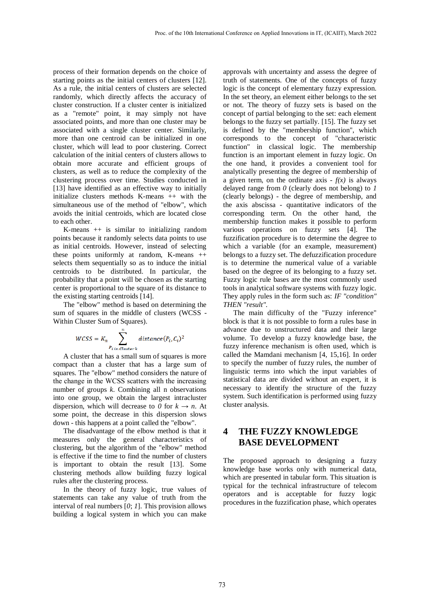process of their formation depends on the choice of starting points as the initial centers of clusters [12]. As a rule, the initial centers of clusters are selected randomly, which directly affects the accuracy of cluster construction. If a cluster center is initialized as a "remote" point, it may simply not have associated points, and more than one cluster may be associated with a single cluster center. Similarly, more than one centroid can be initialized in one cluster, which will lead to poor clustering. Correct calculation of the initial centers of clusters allows to obtain more accurate and efficient groups of clusters, as well as to reduce the complexity of the clustering process over time. Studies conducted in [13] have identified as an effective way to initially initialize clusters methods K-means ++ with the simultaneous use of the method of "elbow", which avoids the initial centroids, which are located close to each other.

K-means  $++$  is similar to initializing random points because it randomly selects data points to use as initial centroids. However, instead of selecting these points uniformly at random, K-means  $++$ selects them sequentially so as to induce the initial centroids to be distributed. In particular, the probability that a point will be chosen as the starting center is proportional to the square of its distance to the existing starting centroids [14].

The "elbow" method is based on determining the sum of squares in the middle of clusters (WCSS - Within Cluster Sum of Squares).

$$
WCSS = K_n \sum_{P_{i\ in\ Clusterk}}^{n} distance(P_i, C_i)^2
$$

A cluster that has a small sum of squares is more compact than a cluster that has a large sum of squares. The "elbow" method considers the nature of the change in the WСSS scatters with the increasing number of groups *k*. Combining all n observations into one group, we obtain the largest intracluster dispersion, which will decrease to 0 for  $k \rightarrow n$ . At some point, the decrease in this dispersion slows down - this happens at a point called the "elbow".

The disadvantage of the elbow method is that it measures only the general characteristics of clustering, but the algorithm of the "elbow" method is effective if the time to find the number of clusters is important to obtain the result [13]. Some clustering methods allow building fuzzy logical rules after the clustering process.

In the theory of fuzzy logic, true values of statements can take any value of truth from the interval of real numbers [*0*; *1*]. This provision allows building a logical system in which you can make

approvals with uncertainty and assess the degree of truth of statements. One of the concepts of fuzzy logic is the concept of elementary fuzzy expression. In the set theory, an element either belongs to the set or not. The theory of fuzzy sets is based on the concept of partial belonging to the set: each element belongs to the fuzzy set partially. [15]. The fuzzy set is defined by the "membership function", which corresponds to the concept of "characteristic function" in classical logic. The membership function is an important element in fuzzy logic. On the one hand, it provides a convenient tool for analytically presenting the degree of membership of a given term, on the ordinate axis  $- f(x)$  is always delayed range from *0* (clearly does not belong) to *1* (clearly belongs) - the degree of membership, and the axis abscissa - quantitative indicators of the corresponding term. On the other hand, the membership function makes it possible to perform various operations on fuzzy sets [4]. The fuzzification procedure is to determine the degree to which a variable (for an example, measurement) belongs to a fuzzy set. The defuzzification procedure is to determine the numerical value of a variable based on the degree of its belonging to a fuzzy set. Fuzzy logic rule bases are the most commonly used tools in analytical software systems with fuzzy logic. They apply rules in the form such as: *IF "condition" THEN "result".* 

The main difficulty of the "Fuzzy inference" block is that it is not possible to form a rules base in advance due to unstructured data and their large volume. To develop a fuzzy knowledge base, the fuzzy inference mechanism is often used, which is called the Mamdani mechanism [4, 15,16]. In order to specify the number of fuzzy rules, the number of linguistic terms into which the input variables of statistical data are divided without an expert, it is necessary to identify the structure of the fuzzy system. Such identification is performed using fuzzy cluster analysis.

#### **4 THE FUZZY KNOWLEDGE BASE DEVELOPMENT**

The proposed approach to designing a fuzzy knowledge base works only with numerical data, which are presented in tabular form. This situation is typical for the technical infrastructure of telecom operators and is acceptable for fuzzy logic procedures in the fuzzification phase, which operates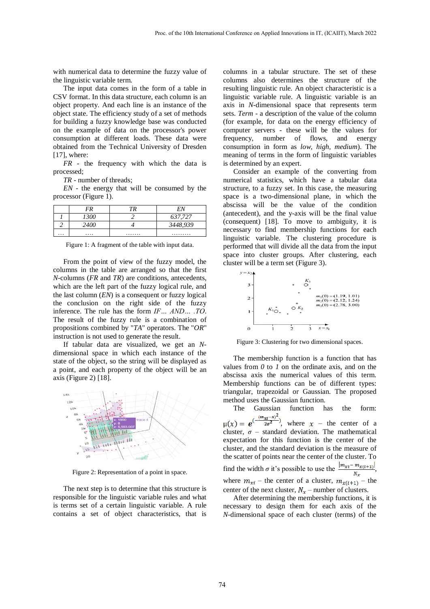with numerical data to determine the fuzzy value of the linguistic variable term.

The input data comes in the form of a table in CSV format. In this data structure, each column is an object property. And each line is an instance of the object state. The efficiency study of a set of methods for building a fuzzy knowledge base was conducted on the example of data on the processor's power consumption at different loads. These data were obtained from the Technical University of Dresden  $[17]$ , where:

*FR* - the frequency with which the data is processed;

*TR* - number of threads;

*EN* - the energy that will be consumed by the processor (Figure 1).

|          | FR   |   |               |
|----------|------|---|---------------|
|          | ממדי |   | 37,727<br>027 |
|          |      |   | ነንሰ<br>J770   |
| $\cdots$ | .    | . | .             |

Figure 1: A fragment of the table with input data.

From the point of view of the fuzzy model, the columns in the table are arranged so that the first *N*-columns (*FR* and *TR*) are conditions, antecedents, which are the left part of the fuzzy logical rule, and the last column (*EN*) is a consequent or fuzzy logical the conclusion on the right side of the fuzzy inference. The rule has the form *IF… AND… .TO*. The result of the fuzzy rule is a combination of propositions combined by "*TA*" operators. The "*OR*" instruction is not used to generate the result.

If tabular data are visualized, we get an *N*dimensional space in which each instance of the state of the object, so the string will be displayed as a point, and each property of the object will be an axis (Figure 2) [18].



Figure 2: Representation of a point in space.

The next step is to determine that this structure is responsible for the linguistic variable rules and what is terms set of a certain linguistic variable. A rule contains a set of object characteristics, that is columns in a tabular structure. The set of these columns also determines the structure of the resulting linguistic rule. An object characteristic is a linguistic variable rule. A linguistic variable is an axis in *N*-dimensional space that represents term sets. *Term* - a description of the value of the column (for example, for data on the energy efficiency of computer servers - these will be the values for frequency, number of flows, and energy consumption in form as *low, high, medium*). The meaning of terms in the form of linguistic variables is determined by an expert.

Consider an example of the converting from numerical statistics, which have a tabular data structure, to a fuzzy set. In this case, the measuring space is a two-dimensional plane, in which the abscissa will be the value of the condition (antecedent), and the y-axis will be the final value (consequent) [18]. To move to ambiguity, it is necessary to find membership functions for each linguistic variable. The clustering procedure is performed that will divide all the data from the input space into cluster groups. After clustering, each cluster will be a term set (Figure 3).



Figure 3: Clustering for two dimensional spaces.

The membership function is a function that has values from  $\theta$  to  $I$  on the ordinate axis, and on the abscissa axis the numerical values of this term. Membership functions can be of different types: triangular, trapezoidal or Gaussian. The proposed method uses the Gaussian function.

The Gaussian function has the form:  $\mu(x) = e^{-\frac{(m_{xi}-x)^2}{2\sigma^2}}$ , where  $x$  – the center of a cluster,  $\sigma$  – standard deviation. The mathematical expectation for this function is the center of the cluster, and the standard deviation is the measure of the scatter of points near the center of the cluster. To find the width  $\sigma$  it's possible to use the  $\frac{|m_{xi}-m_{x(i+1)}|}{N_x}$ , where  $m_{xi}$  – the center of a cluster,  $m_{x(i+1)}$  – the center of the next cluster,  $N_x$  – number of clusters.

After determining the membership functions, it is necessary to design them for each axis of the *N*-dimensional space of each cluster (terms) of the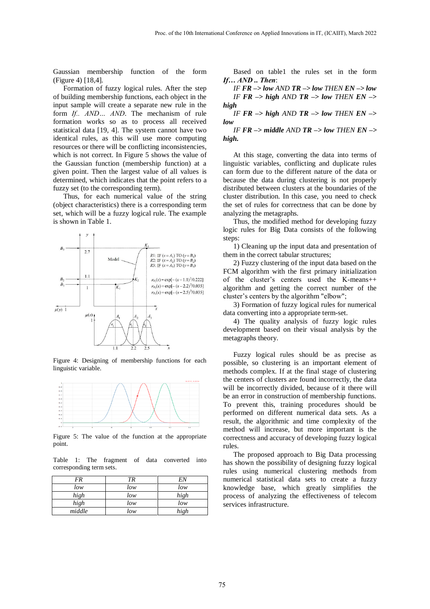Gaussian membership function of the form (Figure 4) [18,4].

Formation of fuzzy logical rules. After the step of building membership functions, each object in the input sample will create a separate new rule in the form *If.. AND… AND*. The mechanism of rule formation works so as to process all received statistical data [19, 4]. The system cannot have two identical rules, as this will use more computing resources or there will be conflicting inconsistencies, which is not correct. In Figure 5 shows the value of the Gaussian function (membership function) at a given point. Then the largest value of all values is determined, which indicates that the point refers to a fuzzy set (to the corresponding term).

Thus, for each numerical value of the string (object characteristics) there is a corresponding term set, which will be a fuzzy logical rule. The example is shown in Table 1.



Figure 4: Designing of membership functions for each linguistic variable.



Figure 5: The value of the function at the appropriate point.

Table 1: The fragment of data converted into corresponding term sets.

| FR     | ТR  | EN   |
|--------|-----|------|
| low    | low | low  |
| high   | low | high |
| high   | low | low  |
| middle | low | high |

Based on table1 the rules set in the form *If… AND .. Then*:

*IF FR –> low AND TR –> low THEN EN –> low IF*  $FR \rightarrow high$  *AND*  $TR \rightarrow low$  *THEN*  $EN \rightarrow$ *high* 

*IF*  $FR \rightarrow high$  *AND*  $TR \rightarrow low$  *THEN*  $EN \rightarrow$ *low* 

*IF*  $FR \rightarrow$  middle  $AND$   $TR \rightarrow low$   $THEN$   $EN \rightarrow$ *high.*

At this stage, converting the data into terms of linguistic variables, conflicting and duplicate rules can form due to the different nature of the data or because the data during clustering is not properly distributed between clusters at the boundaries of the cluster distribution. In this case, you need to check the set of rules for correctness that can be done by analyzing the metagraphs.

Thus, the modified method for developing fuzzy logic rules for Big Data consists of the following steps:

1) Cleaning up the input data and presentation of them in the correct tabular structures;

2) Fuzzy clustering of the input data based on the FCM algorithm with the first primary initialization of the cluster's centers used the K-means++ algorithm and getting the correct number of the cluster's centers by the algorithm "elbow";

3) Formation of fuzzy logical rules for numerical data converting into a appropriate term-set.

4) The quality analysis of fuzzy logic rules development based on their visual analysis by the metagraphs theory.

Fuzzy logical rules should be as precise as possible, so clustering is an important element of methods complex. If at the final stage of clustering the centers of clusters are found incorrectly, the data will be incorrectly divided, because of it there will be an error in construction of membership functions. To prevent this, training procedures should be performed on different numerical data sets. As a result, the algorithmic and time complexity of the method will increase, but more important is the correctness and accuracy of developing fuzzy logical rules.

The proposed approach to Big Data processing has shown the possibility of designing fuzzy logical rules using numerical clustering methods from numerical statistical data sets to create a fuzzy knowledge base, which greatly simplifies the process of analyzing the effectiveness of telecom services infrastructure.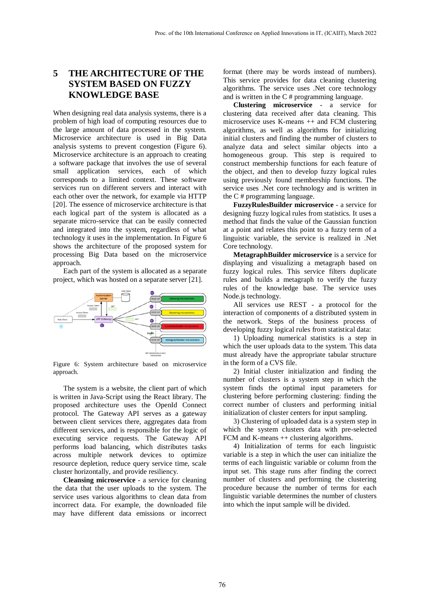### **5 THE ARCHITECTURE OF THE SYSTEM BASED ON FUZZY KNOWLEDGE BASE**

When designing real data analysis systems, there is a problem of high load of computing resources due to the large amount of data processed in the system. Microservice architecture is used in Big Data analysis systems to prevent congestion (Figure 6). Microservice architecture is an approach to creating a software package that involves the use of several small application services, each of which corresponds to a limited context. These software services run on different servers and interact with each other over the network, for example via HTTP [20]. The essence of microservice architecture is that each logical part of the system is allocated as a separate micro-service that can be easily connected and integrated into the system, regardless of what technology it uses in the implementation. In Figure 6 shows the architecture of the proposed system for processing Big Data based on the microservice approach.

Each part of the system is allocated as a separate project, which was hosted on a separate server [21].



Figure 6: System architecture based on microservice approach.

The system is a website, the client part of which is written in Java-Script using the React library. The proposed architecture uses the OpenId Connect protocol. The Gateway API serves as a gateway between client services there, aggregates data from different services, and is responsible for the logic of executing service requests. The Gateway API performs load balancing, which distributes tasks across multiple network devices to optimize resource depletion, reduce query service time, scale cluster horizontally, and provide resiliency.

**Cleansing microservice** - a service for cleaning the data that the user uploads to the system. The service uses various algorithms to clean data from incorrect data. For example, the downloaded file may have different data emissions or incorrect

format (there may be words instead of numbers). This service provides for data cleaning clustering algorithms. The service uses .Net core technology and is written in the C # programming language.

**Clustering microservice** - a service for clustering data received after data cleaning. This microservice uses K-means ++ and FCM clustering algorithms, as well as algorithms for initializing initial clusters and finding the number of clusters to analyze data and select similar objects into a homogeneous group. This step is required to construct membership functions for each feature of the object, and then to develop fuzzy logical rules using previously found membership functions. The service uses .Net core technology and is written in the C # programming language.

**FuzzyRulesBuilder microservice** - a service for designing fuzzy logical rules from statistics. It uses a method that finds the value of the Gaussian function at a point and relates this point to a fuzzy term of a linguistic variable, the service is realized in .Net Core technology.

**MetagraphBuilder microservice** is a service for displaying and visualizing a metagraph based on fuzzy logical rules. This service filters duplicate rules and builds a metagraph to verify the fuzzy rules of the knowledge base. The service uses Node.js technology.

All services use REST - a protocol for the interaction of components of a distributed system in the network. Steps of the business process of developing fuzzy logical rules from statistical data:

1) Uploading numerical statistics is a step in which the user uploads data to the system. This data must already have the appropriate tabular structure in the form of a CVS file.

2) Initial cluster initialization and finding the number of clusters is a system step in which the system finds the optimal input parameters for clustering before performing clustering: finding the correct number of clusters and performing initial initialization of cluster centers for input sampling.

3) Clustering of uploaded data is a system step in which the system clusters data with pre-selected FCM and K-means  $++$  clustering algorithms.

4) Initialization of terms for each linguistic variable is a step in which the user can initialize the terms of each linguistic variable or column from the input set. This stage runs after finding the correct number of clusters and performing the clustering procedure because the number of terms for each linguistic variable determines the number of clusters into which the input sample will be divided.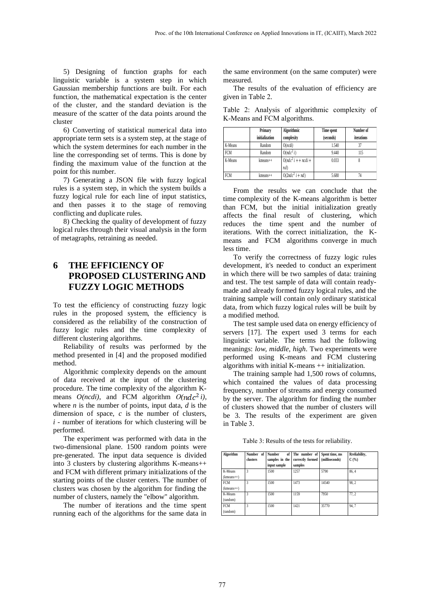5) Designing of function graphs for each linguistic variable is a system step in which Gaussian membership functions are built. For each function, the mathematical expectation is the center of the cluster, and the standard deviation is the measure of the scatter of the data points around the cluster

6) Converting of statistical numerical data into appropriate term sets is a system step, at the stage of which the system determines for each number in the line the corresponding set of terms. This is done by finding the maximum value of the function at the point for this number.

7) Generating a JSON file with fuzzy logical rules is a system step, in which the system builds a fuzzy logical rule for each line of input statistics, and then passes it to the stage of removing conflicting and duplicate rules.

8) Checking the quality of development of fuzzy logical rules through their visual analysis in the form of metagraphs, retraining as needed.

### **6 THE EFFICIENCY OF PROPOSED CLUSTERING AND FUZZY LOGIC METHODS**

To test the efficiency of constructing fuzzy logic rules in the proposed system, the efficiency is considered as the reliability of the construction of fuzzy logic rules and the time complexity of different clustering algorithms.

Reliability of results was performed by the method presented in [4] and the proposed modified method.

Algorithmic complexity depends on the amount of data received at the input of the clustering procedure. The time complexity of the algorithm Kmeans  $O(ncdi)$ , and FCM algorithm  $O(ndc^2i)$ , where *n* is the number of points, input data, *d* is the dimension of space, *c* is the number of clusters,  $i$  - number of iterations for which clustering will be performed.

The experiment was performed with data in the two-dimensional plane. 1500 random points were pre-generated. The input data sequence is divided into 3 clusters by clustering algorithms K-means++ and FCM with different primary initializations of the starting points of the cluster centers. The number of clusters was chosen by the algorithm for finding the number of clusters, namely the "elbow" algorithm.

The number of iterations and the time spent running each of the algorithms for the same data in the same environment (on the same computer) were measured.

The results of the evaluation of efficiency are given in Table 2.

Table 2: Analysis of algorithmic complexity of K-Means and FCM algorithms.

|            | Primary        | Algorithmic          | Time spent | Number of  |
|------------|----------------|----------------------|------------|------------|
|            | initialization | complexity           | (seconds)  | iterations |
| K-Means    | Random         | O(ncdi)              | 1.540      | 37         |
| <b>FCM</b> | Random         | $O(ndc^2 i)$         | 9.440      | 115        |
| K-Means    | $k$ means $++$ | $O(ndc^2 i + ncdi +$ | 0.033      |            |
|            |                | nd)                  |            |            |
| <b>FCM</b> | $k$ means $++$ | $O(2ndc^2 i + nd)$   | 5.680      | 74         |

From the results we can conclude that the time complexity of the K-means algorithm is better than FCM, but the initial initialization greatly affects the final result of clustering, which reduces the time spent and the number of iterations. With the correct initialization, the Kmeans and FCM algorithms converge in much less time.

To verify the correctness of fuzzy logic rules development, it's needed to conduct an experiment in which there will be two samples of data: training and test. The test sample of data will contain readymade and already formed fuzzy logical rules, and the training sample will contain only ordinary statistical data, from which fuzzy logical rules will be built by a modified method.

The test sample used data on energy efficiency of servers [17]. The expert used 3 terms for each linguistic variable. The terms had the following meanings: *low, middle, high*. Two experiments were performed using K-means and FCM clustering algorithms with initial K-means ++ initialization.

The training sample had 1,500 rows of columns, which contained the values of data processing frequency, number of streams and energy consumed by the server. The algorithm for finding the number of clusters showed that the number of clusters will be 3. The results of the experiment are given in Table 3.

Table 3: Results of the tests for reliability.

| Algorithm    | <b>Number</b><br>of | <b>Number</b><br>of | The number of    | Spent time, ms | Rreliability, |
|--------------|---------------------|---------------------|------------------|----------------|---------------|
|              | clusters            | samples in the      | correctly formed | (milliseconds) | C(%)          |
|              |                     | input sample        | samples          |                |               |
| K-Means      |                     | 1500                | 1257             | 5790           | 86.4          |
| $(kmeans++)$ |                     |                     |                  |                |               |
| <b>FCM</b>   |                     | 1500                | 1473             | 14540          | 98.2          |
| $(kmeans++)$ |                     |                     |                  |                |               |
| K-Means      | 3                   | 1500                | 1159             | 7950           | 77.2          |
| (random)     |                     |                     |                  |                |               |
| <b>FCM</b>   |                     | 1500                | 1421             | 35770          | 94.7          |
| (random)     |                     |                     |                  |                |               |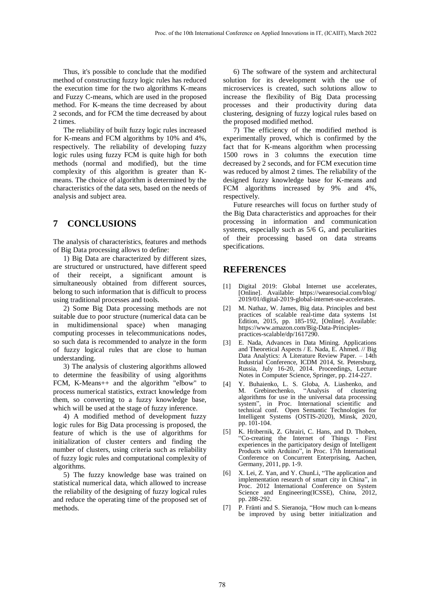Thus, it's possible to conclude that the modified method of constructing fuzzy logic rules has reduced the execution time for the two algorithms K-means and Fuzzy C-means, which are used in the proposed method. For K-means the time decreased by about 2 seconds, and for FCM the time decreased by about 2 times.

The reliability of built fuzzy logic rules increased for K-means and FCM algorithms by 10% and 4%, respectively. The reliability of developing fuzzy logic rules using fuzzy FCM is quite high for both methods (normal and modified), but the time complexity of this algorithm is greater than Kmeans. The choice of algorithm is determined by the characteristics of the data sets, based on the needs of analysis and subject area.

### **7 CONCLUSIONS**

The analysis of characteristics, features and methods of Big Data processing allows to define:

1) Big Data are characterized by different sizes, are structured or unstructured, have different speed of their receipt, a significant amount is simultaneously obtained from different sources, belong to such information that is difficult to process using traditional processes and tools.

2) Some Big Data processing methods are not suitable due to poor structure (numerical data can be in multidimensional space) when managing computing processes in telecommunications nodes, so such data is recommended to analyze in the form of fuzzy logical rules that are close to human understanding.

3) The analysis of clustering algorithms allowed to determine the feasibility of using algorithms FCM, K-Means++ and the algorithm "elbow" to process numerical statistics, extract knowledge from them, so converting to a fuzzy knowledge base, which will be used at the stage of fuzzy inference.

4) A modified method of development fuzzy logic rules for Big Data processing is proposed, the feature of which is the use of algorithms for initialization of cluster centers and finding the number of clusters, using criteria such as reliability of fuzzy logic rules and computational complexity of algorithms.

5) The fuzzy knowledge base was trained on statistical numerical data, which allowed to increase the reliability of the designing of fuzzy logical rules and reduce the operating time of the proposed set of methods.

6) The software of the system and architectural solution for its development with the use of microservices is created, such solutions allow to increase the flexibility of Big Data processing processes and their productivity during data clustering, designing of fuzzy logical rules based on the proposed modified method.

7) The efficiency of the modified method is experimentally proved, which is confirmed by the fact that for K-means algorithm when processing 1500 rows in 3 columns the execution time decreased by 2 seconds, and for FCM execution time was reduced by almost 2 times. The reliability of the designed fuzzy knowledge base for K-means and FCM algorithms increased by 9% and 4%, respectively.

Future researches will focus on further study of the Big Data characteristics and approaches for their processing in information and communication systems, especially such as 5/6 G, and peculiarities of their processing based on data streams specifications.

#### **REFERENCES**

- [1] Digital 2019: Global Internet use accelerates, [Online]. Available: https://wearesocial.com/blog/ 2019/01/digital-2019-global-internet-use-accelerates.
- [2] M. Nathaz, W. James, Big data. Principles and best practices of scalable real-time data systems 1st Edition, 2015, pp. 185-192, [Online]. Available: https://www.amazon.com/Big-Data-Principlespractices-scalable/dp/1617290.
- [3] E. Nada, Advances in Data Mining. Applications and Theoretical Aspects / E. Nada, E. Ahmed. // Big Data Analytics: A Literature Review Paper. – 14th Industrial Conference, ICDM 2014, St. Petersburg, Russia, July 16-20, 2014. Proceedings, Lecture Notes in Computer Science, Springer, pp. 214-227.
- [4] Y. Buhaienko, L. S. Globa, A. Liashenko, and M. Grebinechenko, "Analysis of clustering algorithms for use in the universal data processing system", in Proc. International scientific and technical conf. Open Semantic Technologies for Intelligent Systems (OSTIS-2020), Minsk, 2020, pp. 101-104.
- [5] K. Hribernik, Z. Ghrairi, C. Hans, and D. Thoben, "Co-creating the Internet of Things - First experiences in the participatory design of Intelligent Products with Arduino", in Proc. 17th International Conference on Concurrent Enterprising, Aachen, Germany, 2011, pp. 1-9.
- [6] X. Lei, Z. Yan, and Y. ChunLi, "The application and implementation research of smart city in China", in Proc. 2012 International Conference on System Science and Engineering(ICSSE), China, 2012, pp. 288-292.
- [7] P. Fränti and S. Sieranoja, "How much can k-means be improved by using better initialization and